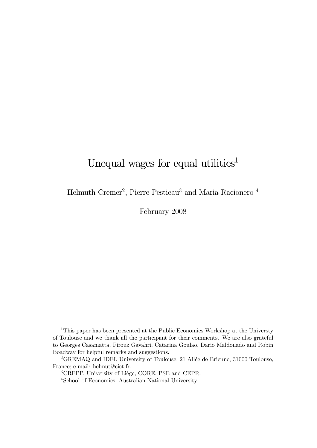# Unequal wages for equal utilities<sup>1</sup>

Helmuth Cremer<sup>2</sup>, Pierre Pestieau<sup>3</sup> and Maria Racionero <sup>4</sup>

February 2008

<sup>1</sup>This paper has been presented at the Public Economics Workshop at the Universty of Toulouse and we thank all the participant for their comments. We are also grateful to Georges Casamatta, Firouz Gavahri, Catarina Goulao, Dario Maldonado and Robin Boadway for helpful remarks and suggestions.

<sup>2</sup>GREMAQ and IDEI, University of Toulouse, 21 Allée de Brienne, 31000 Toulouse, France; e-mail: helmut@cict.fr.

3CREPP, University of Liège, CORE, PSE and CEPR.

4School of Economics, Australian National University.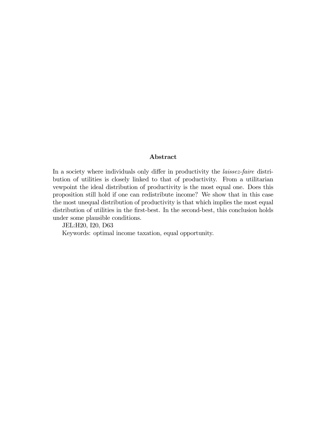#### Abstract

In a society where individuals only differ in productivity the *laissez-faire* distribution of utilities is closely linked to that of productivity. From a utilitarian vewpoint the ideal distribution of productivity is the most equal one. Does this proposition still hold if one can redistribute income? We show that in this case the most unequal distribution of productivity is that which implies the most equal distribution of utilities in the first-best. In the second-best, this conclusion holds under some plausible conditions.

JEL:H20, I20, D63

Keywords: optimal income taxation, equal opportunity.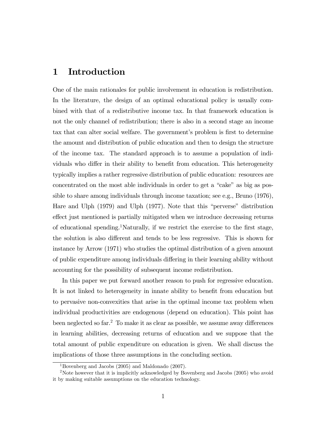# 1 Introduction

One of the main rationales for public involvement in education is redistribution. In the literature, the design of an optimal educational policy is usually combined with that of a redistributive income tax. In that framework education is not the only channel of redistribution; there is also in a second stage an income tax that can alter social welfare. The government's problem is first to determine the amount and distribution of public education and then to design the structure of the income tax. The standard approach is to assume a population of individuals who differ in their ability to benefit from education. This heterogeneity typically implies a rather regressive distribution of public education: resources are concentrated on the most able individuals in order to get a "cake" as big as possible to share among individuals through income taxation; see e.g., Bruno (1976), Hare and Ulph (1979) and Ulph (1977). Note that this "perverse" distribution effect just mentioned is partially mitigated when we introduce decreasing returns of educational spending.1Naturally, if we restrict the exercise to the first stage, the solution is also different and tends to be less regressive. This is shown for instance by Arrow (1971) who studies the optimal distribution of a given amount of public expenditure among individuals differing in their learning ability without accounting for the possibility of subsequent income redistribution.

In this paper we put forward another reason to push for regressive education. It is not linked to heterogeneity in innate ability to benefit from education but to pervasive non-convexities that arise in the optimal income tax problem when individual productivities are endogenous (depend on education). This point has been neglected so far.2 To make it as clear as possible, we assume away differences in learning abilities, decreasing returns of education and we suppose that the total amount of public expenditure on education is given. We shall discuss the implications of those three assumptions in the concluding section.

<sup>&</sup>lt;sup>1</sup>Bovenberg and Jacobs  $(2005)$  and Maldonado  $(2007)$ .

<sup>&</sup>lt;sup>2</sup>Note however that it is implicitly acknowledged by Bovenberg and Jacobs (2005) who avoid it by making suitable assumptions on the education technology.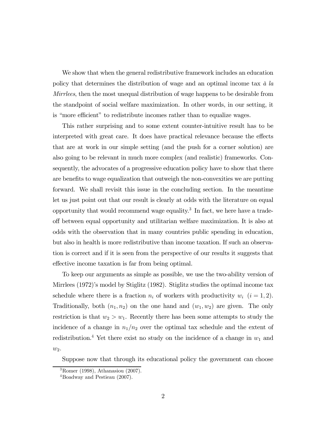We show that when the general redistributive framework includes an education policy that determines the distribution of wage and an optimal income tax à la Mirrlees, then the most unequal distribution of wage happens to be desirable from the standpoint of social welfare maximization. In other words, in our setting, it is "more efficient" to redistribute incomes rather than to equalize wages.

This rather surprising and to some extent counter-intuitive result has to be interpreted with great care. It does have practical relevance because the effects that are at work in our simple setting (and the push for a corner solution) are also going to be relevant in much more complex (and realistic) frameworks. Consequently, the advocates of a progressive education policy have to show that there are benefits to wage equalization that outweigh the non-convexities we are putting forward. We shall revisit this issue in the concluding section. In the meantime let us just point out that our result is clearly at odds with the literature on equal opportunity that would recommend wage equality.<sup>3</sup> In fact, we here have a tradeoff between equal opportunity and utilitarian welfare maximization. It is also at odds with the observation that in many countries public spending in education, but also in health is more redistributive than income taxation. If such an observation is correct and if it is seen from the perspective of our results it suggests that effective income taxation is far from being optimal.

To keep our arguments as simple as possible, we use the two-ability version of Mirrlees (1972)'s model by Stiglitz (1982). Stiglitz studies the optimal income tax schedule where there is a fraction  $n_i$  of workers with productivity  $w_i$   $(i = 1, 2)$ . Traditionally, both  $(n_1, n_2)$  on the one hand and  $(w_1, w_2)$  are given. The only restriction is that  $w_2 > w_1$ . Recently there has been some attempts to study the incidence of a change in  $n_1/n_2$  over the optimal tax schedule and the extent of redistribution.<sup>4</sup> Yet there exist no study on the incidence of a change in  $w_1$  and  $w_2$ .

Suppose now that through its educational policy the government can choose

<sup>3</sup>Romer (1998), Athanasiou (2007).

<sup>4</sup>Boadway and Pestieau (2007).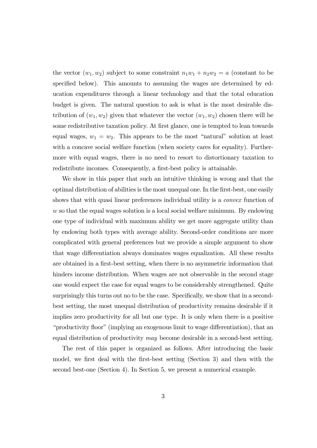the vector  $(w_1, w_2)$  subject to some constraint  $n_1w_1 + n_2w_2 = a$  (constant to be specified below). This amounts to assuming the wages are determined by education expenditures through a linear technology and that the total education budget is given. The natural question to ask is what is the most desirable distribution of  $(w_1, w_2)$  given that whatever the vector  $(w_1, w_2)$  chosen there will be some redistributive taxation policy. At first glance, one is tempted to lean towards equal wages,  $w_1 = w_2$ . This appears to be the most "natural" solution at least with a concave social welfare function (when society cares for equality). Furthermore with equal wages, there is no need to resort to distortionary taxation to redistribute incomes. Consequently, a first-best policy is attainable.

We show in this paper that such an intuitive thinking is wrong and that the optimal distribution of abilities is the most unequal one. In the first-best, one easily shows that with quasi linear preferences individual utility is a *convex* function of w so that the equal wages solution is a local social welfare minimum. By endowing one type of individual with maximum ability we get more aggregate utility than by endowing both types with average ability. Second-order conditions are more complicated with general preferences but we provide a simple argument to show that wage differentiation always dominates wages equalization. All these results are obtained in a first-best setting, when there is no asymmetric information that hinders income distribution. When wages are not observable in the second stage one would expect the case for equal wages to be considerably strengthened. Quite surprisingly this turns out no to be the case. Specifically, we show that in a secondbest setting, the most unequal distribution of productivity remains desirable if it implies zero productivity for all but one type. It is only when there is a positive "productivity floor" (implying an exogenous limit to wage differentiation), that an equal distribution of productivity may become desirable in a second-best setting.

The rest of this paper is organized as follows. After introducing the basic model, we first deal with the first-best setting (Section 3) and then with the second best-one (Section 4). In Section 5, we present a numerical example.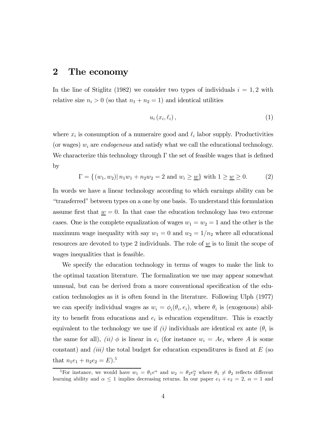## 2 The economy

In the line of Stiglitz (1982) we consider two types of individuals  $i = 1, 2$  with relative size  $n_i > 0$  (so that  $n_1 + n_2 = 1$ ) and identical utilities

$$
u_i(x_i, \ell_i), \tag{1}
$$

where  $x_i$  is consumption of a numeraire good and  $\ell_i$  labor supply. Productivities (or wages)  $w_i$  are *endogenous* and satisfy what we call the educational technology. We characterize this technology through  $\Gamma$  the set of feasible wages that is defined by

$$
\Gamma = \{(w_1, w_2) | n_1 w_1 + n_2 w_2 = 2 \text{ and } w_i \ge \underline{w}\} \text{ with } 1 \ge \underline{w} \ge 0. \tag{2}
$$

In words we have a linear technology according to which earnings ability can be "transferred" between types on a one by one basis. To understand this formulation assume first that  $\underline{w} = 0$ . In that case the education technology has two extreme cases. One is the complete equalization of wages  $w_1 = w_2 = 1$  and the other is the maximum wage inequality with say  $w_1 = 0$  and  $w_2 = 1/n_2$  where all educational resources are devoted to type 2 individuals. The role of  $\underline{w}$  is to limit the scope of wages inequalities that is feasible.

We specify the education technology in terms of wages to make the link to the optimal taxation literature. The formalization we use may appear somewhat unusual, but can be derived from a more conventional specification of the education technologies as it is often found in the literature. Following Ulph (1977) we can specify individual wages as  $w_i = \phi_i(\theta_i, e_i)$ , where  $\theta_i$  is (exogenous) ability to benefit from educations and  $e_i$  is education expenditure. This is exactly equivalent to the technology we use if (i) individuals are identical ex ante  $(\theta_i)$  is the same for all), (ii)  $\phi$  is linear in  $e_i$  (for instance  $w_i = Ae_i$  where A is some constant) and *(iii)* the total budget for education expenditures is fixed at  $E$  (so that  $n_1e_1 + n_2e_2 = E$ .<sup>5</sup>

<sup>&</sup>lt;sup>5</sup>For instance, we would have  $w_1 = \theta_1 e^{\alpha}$  and  $w_2 = \theta_2 e_2^{\alpha}$  where  $\theta_1 \neq \theta_2$  reflects different learning ability and  $\alpha \leq 1$  implies decreasing returns. In our paper  $e_1 + e_2 = 2$ ,  $\alpha = 1$  and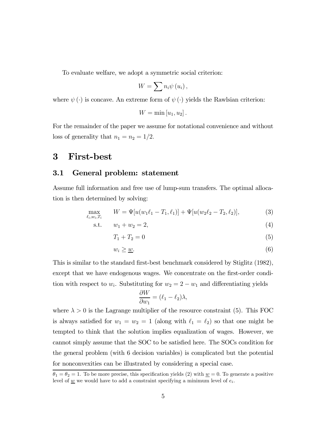To evaluate welfare, we adopt a symmetric social criterion:

$$
W=\sum n_{i}\psi\left( u_{i}\right) ,
$$

where  $\psi(\cdot)$  is concave. An extreme form of  $\psi(\cdot)$  yields the Rawlsian criterion:

$$
W = \min [u_1, u_2].
$$

For the remainder of the paper we assume for notational convenience and without loss of generality that  $n_1 = n_2 = 1/2$ .

## 3 First-best

#### 3.1 General problem: statement

Assume full information and free use of lump-sum transfers. The optimal allocation is then determined by solving:

$$
\max_{\ell_i, w_i, T_i} \qquad W = \Psi[u(w_1\ell_1 - T_1, \ell_1)] + \Psi[u(w_2\ell_2 - T_2, \ell_2)],\tag{3}
$$

s.t. 
$$
w_1 + w_2 = 2,
$$
 (4)

$$
T_1 + T_2 = 0 \tag{5}
$$

$$
w_i \geq \underline{w}.\tag{6}
$$

This is similar to the standard first-best benchmark considered by Stiglitz (1982), except that we have endogenous wages. We concentrate on the first-order condition with respect to  $w_i$ . Substituting for  $w_2 = 2 - w_1$  and differentiating yields

$$
\frac{\partial W}{\partial w_1} = (\ell_1 - \ell_2)\lambda,
$$

where  $\lambda > 0$  is the Lagrange multiplier of the resource constraint (5). This FOC is always satisfied for  $w_1 = w_2 = 1$  (along with  $\ell_1 = \ell_2$ ) so that one might be tempted to think that the solution implies equalization of wages. However, we cannot simply assume that the SOC to be satisfied here. The SOCs condition for the general problem (with 6 decision variables) is complicated but the potential for nonconvexities can be illustrated by considering a special case.

 $\theta_1 = \theta_2 = 1$ . To be more precise, this specification yields (2) with  $\underline{w} = 0$ . To generate a positive level of  $\underline{w}$  we would have to add a constraint specifying a minimum level of  $e_i$ .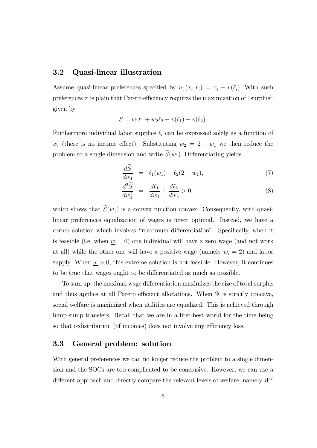#### 3.2 Quasi-linear illustration

Assume quasi-linear preferences specified by  $u_i(x_i, \ell_i) = x_i - v(\ell_i)$ . With such preferences it is plain that Pareto efficiency requires the maximization of "surplus" given by

$$
S = w_1 \ell_1 + w_2 \ell_2 - v(\ell_1) - v(\ell_2).
$$

Furthermore individual labor supplies  $\ell_i$  can be expressed solely as a function of  $w_i$  (there is no income effect). Substituting  $w_2 = 2 - w_1$  we then reduce the problem to a single dimension and write  $S(w_1)$ . Differentiating yields

$$
\frac{d\widetilde{S}}{dw_1} = \ell_1(w_1) - \ell_2(2 - w_1), \tag{7}
$$

$$
\frac{d^2S}{dw_1^2} = \frac{d\ell_1}{dw_1} + \frac{d\ell_2}{dw_2} > 0,
$$
\n(8)

which shows that  $\widetilde{S}(w_1)$  is a convex function convex. Consequently, with quasilinear preferences equalization of wages is never optimal. Instead, we have a corner solution which involves "maximum differentiation". Specifically, when it is feasible (i.e, when  $\underline{w} = 0$ ) one individual will have a zero wage (and not work at all) while the other one will have a positive wage (namely  $w_i = 2$ ) and labor supply. When  $\underline{w} > 0$ , this extreme solution is not feasible. However, it continues to be true that wages ought to be differentiated as much as possible.

To sum up, the maximal wage differentiation maximizes the size of total surplus and thus applies at all Pareto efficient allocations. When  $\Psi$  is strictly concave, social welfare is maximized when utilities are equalized. This is achieved through lump-sump transfers. Recall that we are in a first-best world for the time being so that redistribution (of incomes) does not involve any efficiency loss.

#### 3.3 General problem: solution

With general preferences we can no longer reduce the problem to a single dimension and the SOCs are too complicated to be conclusive. However, we can use a different approach and directly compare the relevant levels of welfare, namely  $W<sup>I</sup>$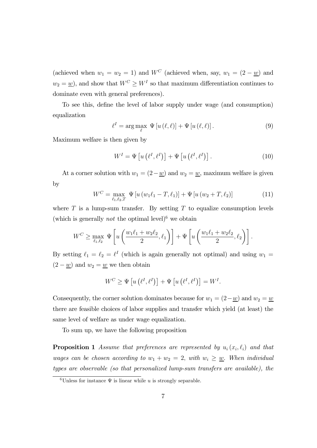(achieved when  $w_1 = w_2 = 1$ ) and  $W^C$  (achieved when, say,  $w_1 = (2 - \underline{w})$  and  $w_2 = \underline{w}$ , and show that  $W^C \geq W^I$  so that maximum differentiation continues to dominate even with general preferences).

To see this, define the level of labor supply under wage (and consumption) equalization

$$
\ell^{I} = \arg \max_{\ell} \Psi \left[ u \left( \ell, \ell \right) \right] + \Psi \left[ u \left( \ell, \ell \right) \right]. \tag{9}
$$

Maximum welfare is then given by

$$
W^{I} = \Psi \left[ u \left( \ell^{I}, \ell^{I} \right) \right] + \Psi \left[ u \left( \ell^{I}, \ell^{I} \right) \right]. \tag{10}
$$

At a corner solution with  $w_1 = (2 - w)$  and  $w_2 = w$ , maximum welfare is given by

$$
W^{C} = \max_{\ell_{1},\ell_{2},T} \Psi \left[ u \left( w_{1}\ell_{1} - T, \ell_{1} \right) \right] + \Psi \left[ u \left( w_{2} + T, \ell_{2} \right) \right]
$$
(11)

where  $T$  is a lump-sum transfer. By setting  $T$  to equalize consumption levels (which is generally *not* the optimal level)<sup>6</sup> we obtain

$$
W^C \ge \max_{\ell_1, \ell_2} \Psi \left[ u \left( \frac{w_1 \ell_1 + w_2 \ell_2}{2}, \ell_1 \right) \right] + \Psi \left[ u \left( \frac{w_1 \ell_1 + w_2 \ell_2}{2}, \ell_2 \right) \right].
$$

By setting  $\ell_1 = \ell_2 = \ell^I$  (which is again generally not optimal) and using  $w_1 =$  $(2 - w)$  and  $w_2 = w$  we then obtain

$$
W^{C} \geq \Psi \left[ u \left( \ell^{I}, \ell^{I} \right) \right] + \Psi \left[ u \left( \ell^{I}, \ell^{I} \right) \right] = W^{I}.
$$

Consequently, the corner solution dominates because for  $w_1 = (2 - w)$  and  $w_2 = w$ there are feasible choices of labor supplies and transfer which yield (at least) the same level of welfare as under wage equalization.

To sum up, we have the following proposition

**Proposition 1** Assume that preferences are represented by  $u_i(x_i, \ell_i)$  and that wages can be chosen according to  $w_1 + w_2 = 2$ , with  $w_i \geq \underline{w}$ . When individual types are observable (so that personalized lump-sum transfers are available), the

<sup>&</sup>lt;sup>6</sup>Unless for instance  $\Psi$  is linear while u is strongly separable.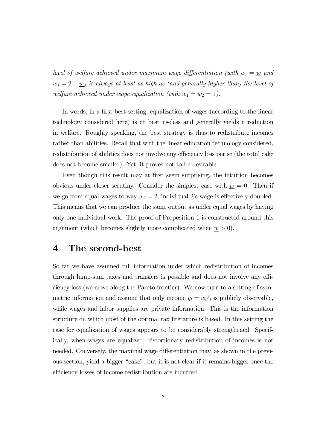level of welfare achieved under maximum wage differentiation (with  $w_i = w$  and  $w_j = 2 - \underline{w}$ ) is always at least as high as (and generally higher than) the level of welfare achieved under wage equalization (with  $w_1 = w_2 = 1$ ).

In words, in a first-best setting, equalization of wages (according to the linear technology considered here) is at best useless and generally yields a reduction in welfare. Roughly speaking, the best strategy is thus to redistribute incomes rather than abilities. Recall that with the linear education technology considered, redistribution of abilities does not involve any efficiency loss per se (the total cake does not become smaller). Yet, it proves not to be desirable.

Even though this result may at first seem surprising, the intuition becomes obvious under closer scrutiny. Consider the simplest case with  $\underline{w} = 0$ . Then if we go from equal wages to way  $w_2 = 2$ , individual 2's wage is effectively doubled. This means that we can produce the same output as under equal wages by having only one individual work. The proof of Proposition 1 is constructed around this argument (which becomes slightly more complicated when  $\underline{w} > 0$ ).

# 4 The second-best

So far we have assumed full information under which redistribution of incomes through lump-sum taxes and transfers is possible and does not involve any efficiency loss (we move along the Pareto frontier). We now turn to a setting of symmetric information and assume that only income  $y_i = w_i \ell_i$  is publicly observable, while wages and labor supplies are private information. This is the information structure on which most of the optimal tax literature is based. In this setting the case for equalization of wages appears to be considerably strengthened. Specifically, when wages are equalized, distortionary redistribution of incomes is not needed. Conversely, the maximal wage differentiation may, as shown in the previous section, yield a bigger "cake", but it is not clear if it remains bigger once the efficiency losses of income redistribution are incurred.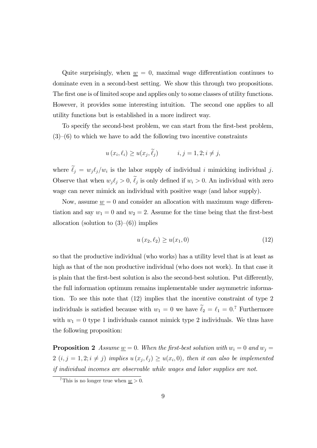Quite surprisingly, when  $w = 0$ , maximal wage differentiation continues to dominate even in a second-best setting. We show this through two propositions. The first one is of limited scope and applies only to some classes of utility functions. However, it provides some interesting intuition. The second one applies to all utility functions but is established in a more indirect way.

To specify the second-best problem, we can start from the first-best problem,  $(3)$ – $(6)$  to which we have to add the following two incentive constraints

$$
u(x_i, \ell_i) \ge u(x_j, \ell_j) \qquad i, j = 1, 2; i \ne j,
$$

where  $\ell_j = w_j \ell_j/w_i$  is the labor supply of individual i mimicking individual j. Observe that when  $w_j \ell_j > 0$ ,  $\ell_j$  is only defined if  $w_i > 0$ . An individual with zero wage can never mimick an individual with positive wage (and labor supply).

Now, assume  $w = 0$  and consider an allocation with maximum wage differentiation and say  $w_1 = 0$  and  $w_2 = 2$ . Assume for the time being that the first-best allocation (solution to  $(3)$ – $(6)$ ) implies

$$
u(x_2, \ell_2) \ge u(x_1, 0) \tag{12}
$$

so that the productive individual (who works) has a utility level that is at least as high as that of the non productive individual (who does not work). In that case it is plain that the first-best solution is also the second-best solution. Put differently, the full information optimum remains implementable under asymmetric information. To see this note that (12) implies that the incentive constraint of type 2 individuals is satisfied because with  $w_1 = 0$  we have  $\ell_2 = \ell_1 = 0$ .<sup>7</sup> Furthermore with  $w_1 = 0$  type 1 individuals cannot mimick type 2 individuals. We thus have the following proposition:

**Proposition 2** Assume  $\underline{w} = 0$ . When the first-best solution with  $w_i = 0$  and  $w_j = 0$ 2  $(i, j = 1, 2; i \neq j)$  implies  $u(x_j, \ell_j) \geq u(x_i, 0)$ , then it can also be implemented if individual incomes are observable while wages and labor supplies are not.

<sup>&</sup>lt;sup>7</sup>This is no longer true when  $w > 0$ .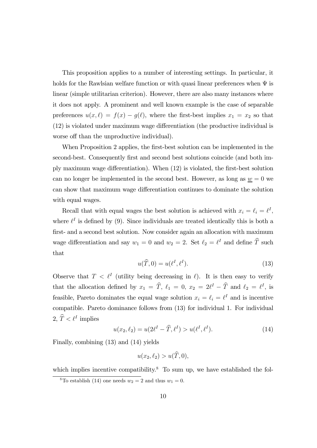This proposition applies to a number of interesting settings. In particular, it holds for the Rawlsian welfare function or with quasi linear preferences when  $\Psi$  is linear (simple utilitarian criterion). However, there are also many instances where it does not apply. A prominent and well known example is the case of separable preferences  $u(x, \ell) = f(x) - g(\ell)$ , where the first-best implies  $x_1 = x_2$  so that (12) is violated under maximum wage differentiation (the productive individual is worse off than the unproductive individual).

When Proposition 2 applies, the first-best solution can be implemented in the second-best. Consequently first and second best solutions coincide (and both imply maximum wage differentiation). When (12) is violated, the first-best solution can no longer be implemented in the second best. However, as long as  $\underline{w} = 0$  we can show that maximum wage differentiation continues to dominate the solution with equal wages.

Recall that with equal wages the best solution is achieved with  $x_i = \ell_i = \ell^I$ , where  $\ell^I$  is defined by (9). Since individuals are treated identically this is both a first- and a second best solution. Now consider again an allocation with maximum wage differentiation and say  $w_1 = 0$  and  $w_2 = 2$ . Set  $\ell_2 = \ell^I$  and define  $\widehat{T}$  such that

$$
u(\widehat{T},0) = u(\ell^I, \ell^I). \tag{13}
$$

Observe that  $T < \ell^I$  (utility being decreasing in  $\ell$ ). It is then easy to verify that the allocation defined by  $x_1 = \hat{T}$ ,  $\ell_1 = 0$ ,  $x_2 = 2\ell^I - \hat{T}$  and  $\ell_2 = \ell^I$ , is feasible, Pareto dominates the equal wage solution  $x_i = \ell_i = \ell^I$  and is incentive compatible. Pareto dominance follows from (13) for individual 1. For individual 2,  $\widehat{T} < \ell^I$  implies

$$
u(x_2, \ell_2) = u(2\ell^I - \widehat{T}, \ell^I) > u(\ell^I, \ell^I). \tag{14}
$$

Finally, combining (13) and (14) yields

$$
u(x_2, \ell_2) > u(\widehat{T}, 0),
$$

which implies incentive compatibility.<sup>8</sup> To sum up, we have established the fol-

<sup>&</sup>lt;sup>8</sup>To establish (14) one needs  $w_2 = 2$  and thus  $w_1 = 0$ .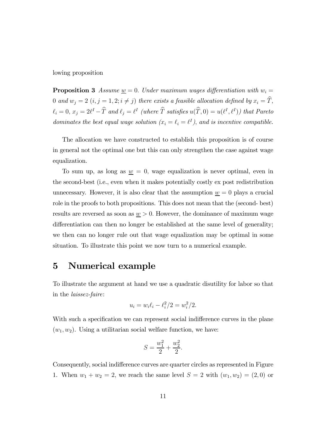lowing proposition

**Proposition 3** Assume  $\underline{w} = 0$ . Under maximum wages differentiation with  $w_i =$ 0 and  $w_j = 2$   $(i, j = 1, 2; i \neq j)$  there exists a feasible allocation defined by  $x_i = \hat{T}$ ,  $\ell_i = 0, x_j = 2\ell^I - \widehat{T}$  and  $\ell_j = \ell^I$  (where  $\widehat{T}$  satisfies  $u(\widehat{T}, 0) = u(\ell^I, \ell^I)$ ) that Pareto dominates the best equal wage solution  $(x_i = \ell_i = \ell^I)$ , and is incentive compatible.

The allocation we have constructed to establish this proposition is of course in general not the optimal one but this can only strengthen the case against wage equalization.

To sum up, as long as  $\underline{w} = 0$ , wage equalization is never optimal, even in the second-best (i.e., even when it makes potentially costly ex post redistribution unnecessary. However, it is also clear that the assumption  $\underline{w} = 0$  plays a crucial role in the proofs to both propositions. This does not mean that the (second- best) results are reversed as soon as  $\underline{w} > 0$ . However, the dominance of maximum wage differentiation can then no longer be established at the same level of generality; we then can no longer rule out that wage equalization may be optimal in some situation. To illustrate this point we now turn to a numerical example.

### 5 Numerical example

To illustrate the argument at hand we use a quadratic disutility for labor so that in the laissez-faire:

$$
u_i = w_i \ell_i - \ell_i^2 / 2 = w_i^2 / 2.
$$

With such a specification we can represent social indifference curves in the plane  $(w_1, w_2)$ . Using a utilitarian social welfare function, we have:

$$
S = \frac{w_1^2}{2} + \frac{w_2^2}{2}.
$$

Consequently, social indifference curves are quarter circles as represented in Figure 1. When  $w_1 + w_2 = 2$ , we reach the same level  $S = 2$  with  $(w_1, w_2) = (2, 0)$  or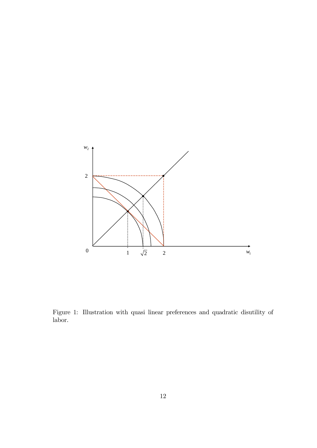

Figure 1: Illustration with quasi linear preferences and quadratic disutility of labor.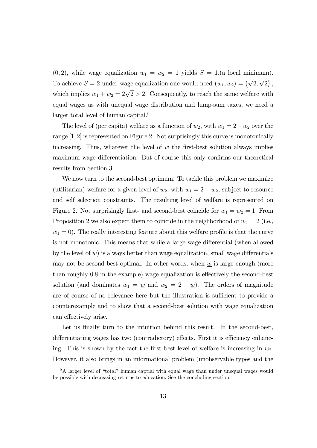$(0, 2)$ , while wage equalization  $w_1 = w_2 = 1$  yields  $S = 1$ . (a local minimum). To achieve  $S = 2$  under wage equalization one would need  $(w_1, w_2) = (\sqrt{2}, \sqrt{2})$ , which implies  $w_1 + w_2 = 2\sqrt{2} > 2$ . Consequently, to reach the same welfare with equal wages as with unequal wage distribution and lump-sum taxes, we need a larger total level of human capital.<sup>9</sup>

The level of (per capita) welfare as a function of  $w_2$ , with  $w_1 = 2 - w_2$  over the range [1, 2] is represented on Figure 2. Not surprisingly this curve is monotonically increasing. Thus, whatever the level of  $w$  the first-best solution always implies maximum wage differentiation. But of course this only confirms our theoretical results from Section 3.

We now turn to the second-best optimum. To tackle this problem we maximize (utilitarian) welfare for a given level of  $w_2$ , with  $w_1 = 2 - w_2$ , subject to resource and self selection constraints. The resulting level of welfare is represented on Figure 2. Not surprisingly first- and second-best coincide for  $w_1 = w_2 = 1$ . From Proposition 2 we also expect them to coincide in the neighborhood of  $w_2 = 2$  (i.e.,  $w_1 = 0$ ). The really interesting feature about this welfare profile is that the curve is not monotonic. This means that while a large wage differential (when allowed by the level of  $w$ ) is always better than wage equalization, small wage differentials may not be second-best optimal. In other words, when  $\underline{w}$  is large enough (more than roughly 0.8 in the example) wage equalization is effectively the second-best solution (and dominates  $w_1 = \underline{w}$  and  $w_2 = 2 - \underline{w}$ ). The orders of magnitude are of course of no relevance here but the illustration is sufficient to provide a counterexample and to show that a second-best solution with wage equalization can effectively arise.

Let us finally turn to the intuition behind this result. In the second-best, differentiating wages has two (contradictory) effects. First it is efficiency enhancing. This is shown by the fact the first best level of welfare is increasing in  $w_2$ . However, it also brings in an informational problem (unobservable types and the

 $9A$  larger level of "total" human captial with equal wage than under unequal wages would be possible with decreasing returns to education. See the concluding section.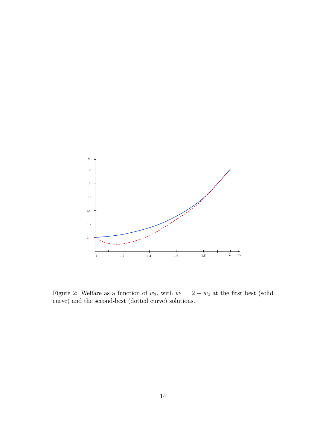

Figure 2: Welfare as a function of  $w_2$ , with  $w_1 = 2 - w_2$  at the first best (solid curve) and the second-best (dotted curve) solutions.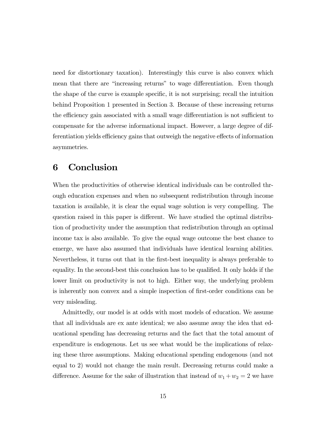need for distortionary taxation). Interestingly this curve is also convex which mean that there are "increasing returns" to wage differentiation. Even though the shape of the curve is example specific, it is not surprising; recall the intuition behind Proposition 1 presented in Section 3. Because of these increasing returns the efficiency gain associated with a small wage differentiation is not sufficient to compensate for the adverse informational impact. However, a large degree of differentiation yields efficiency gains that outweigh the negative effects of information asymmetries.

# 6 Conclusion

When the productivities of otherwise identical individuals can be controlled through education expenses and when no subsequent redistribution through income taxation is available, it is clear the equal wage solution is very compelling. The question raised in this paper is different. We have studied the optimal distribution of productivity under the assumption that redistribution through an optimal income tax is also available. To give the equal wage outcome the best chance to emerge, we have also assumed that individuals have identical learning abilities. Nevertheless, it turns out that in the first-best inequality is always preferable to equality. In the second-best this conclusion has to be qualified. It only holds if the lower limit on productivity is not to high. Either way, the underlying problem is inherently non convex and a simple inspection of first-order conditions can be very misleading.

Admittedly, our model is at odds with most models of education. We assume that all individuals are ex ante identical; we also assume away the idea that educational spending has decreasing returns and the fact that the total amount of expenditure is endogenous. Let us see what would be the implications of relaxing these three assumptions. Making educational spending endogenous (and not equal to 2) would not change the main result. Decreasing returns could make a difference. Assume for the sake of illustration that instead of  $w_1 + w_2 = 2$  we have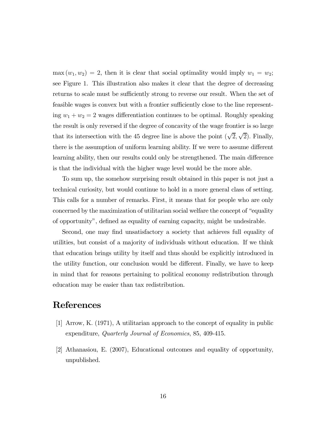$\max(w_1, w_2)=2$ , then it is clear that social optimality would imply  $w_1 = w_2$ ; see Figure 1. This illustration also makes it clear that the degree of decreasing returns to scale must be sufficiently strong to reverse our result. When the set of feasible wages is convex but with a frontier sufficiently close to the line representing  $w_1 + w_2 = 2$  wages differentiation continues to be optimal. Roughly speaking the result is only reversed if the degree of concavity of the wage frontier is so large that its intersection with the 45 degree line is above the point  $(\sqrt{2}, \sqrt{2})$ . Finally, there is the assumption of uniform learning ability. If we were to assume different learning ability, then our results could only be strengthened. The main difference is that the individual with the higher wage level would be the more able.

To sum up, the somehow surprising result obtained in this paper is not just a technical curiosity, but would continue to hold in a more general class of setting. This calls for a number of remarks. First, it means that for people who are only concerned by the maximization of utilitarian social welfare the concept of "equality of opportunity", defined as equality of earning capacity, might be undesirable.

Second, one may find unsatisfactory a society that achieves full equality of utilities, but consist of a majority of individuals without education. If we think that education brings utility by itself and thus should be explicitly introduced in the utility function, our conclusion would be different. Finally, we have to keep in mind that for reasons pertaining to political economy redistribution through education may be easier than tax redistribution.

# **References**

- [1] Arrow, K. (1971), A utilitarian approach to the concept of equality in public expenditure, Quarterly Journal of Economics, 85, 409-415.
- [2] Athanasiou, E. (2007), Educational outcomes and equality of opportunity, unpublished.